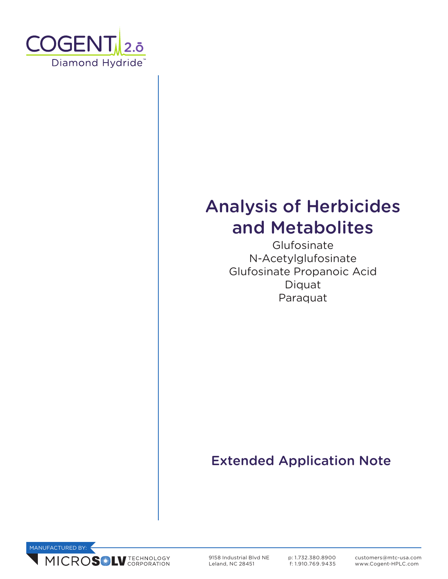

# Analysis of Herbicides and Metabolites

**Glufosinate** N-Acetylglufosinate Glufosinate Propanoic Acid Diquat Paraquat

# Extended Application Note



9158 Industrial Blvd NE Leland, NC 28451

p: 1.732.380.8900 f: 1.910.769.9435 customers@mtc-usa.com www.Cogent-HPLC.com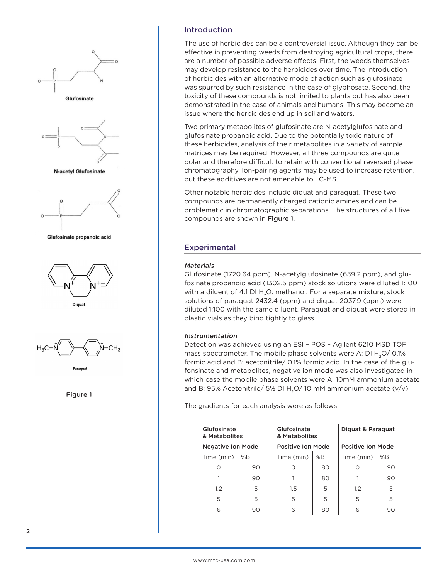

### Introduction

The use of herbicides can be a controversial issue. Although they can be effective in preventing weeds from destroying agricultural crops, there are a number of possible adverse effects. First, the weeds themselves may develop resistance to the herbicides over time. The introduction of herbicides with an alternative mode of action such as glufosinate was spurred by such resistance in the case of glyphosate. Second, the toxicity of these compounds is not limited to plants but has also been demonstrated in the case of animals and humans. This may become an issue where the herbicides end up in soil and waters.

Two primary metabolites of glufosinate are N-acetylglufosinate and glufosinate propanoic acid. Due to the potentially toxic nature of these herbicides, analysis of their metabolites in a variety of sample matrices may be required. However, all three compounds are quite polar and therefore difficult to retain with conventional reversed phase chromatography. Ion-pairing agents may be used to increase retention, but these additives are not amenable to LC-MS.

Other notable herbicides include diquat and paraquat. These two compounds are permanently charged cationic amines and can be problematic in chromatographic separations. The structures of all five compounds are shown in Figure 1.

## Experimental

#### **Materials**

Glufosinate (1720.64 ppm), N-acetylglufosinate (639.2 ppm), and glufosinate propanoic acid (1302.5 ppm) stock solutions were diluted 1:100 with a diluent of 4:1 DI H<sub>2</sub>O: methanol. For a separate mixture, stock solutions of paraquat 2432.4 (ppm) and diquat 2037.9 (ppm) were diluted 1:100 with the same diluent. Paraquat and diquat were stored in plastic vials as they bind tightly to glass.

#### Instrumentation

Detection was achieved using an ESI – POS – Agilent 6210 MSD TOF mass spectrometer. The mobile phase solvents were A: DI  $H_2O$  / 0.1% formic acid and B: acetonitrile/ 0.1% formic acid. In the case of the glufonsinate and metabolites, negative ion mode was also investigated in which case the mobile phase solvents were A: 10mM ammonium acetate and B: 95% Acetonitrile/ 5% DI H<sub>2</sub>O/ 10 mM ammonium acetate ( $v/v$ ).

The gradients for each analysis were as follows:

| Glufosinate<br>& Metabolites |    | Glufosinate<br>& Metabolites |    | Diguat & Paraguat |    |
|------------------------------|----|------------------------------|----|-------------------|----|
| <b>Negative Ion Mode</b>     |    | <b>Positive Ion Mode</b>     |    | Positive Ion Mode |    |
| Time (min)                   | %B | Time (min)                   | %B | Time (min)        | %B |
|                              | 90 | Ω                            | 80 |                   | 90 |
|                              | 90 |                              | 80 |                   | 90 |
| 1.2                          | 5  | $1.5\,$                      | 5  | 1.2               | 5  |
| 5                            | 5  | 5                            | 5  | 5                 | 5  |
| 6                            | 90 | 6                            | 80 | 6                 | 90 |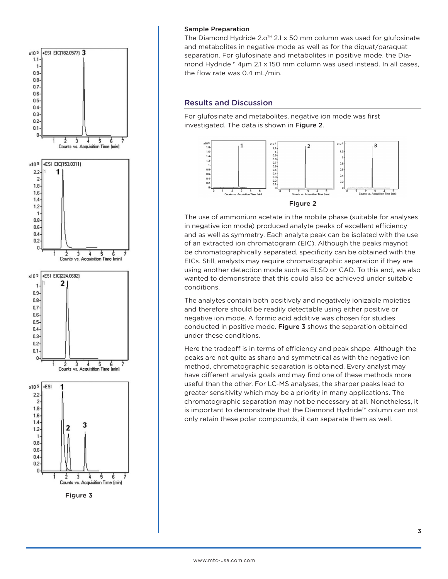

#### Sample Preparation

The Diamond Hydride 2.o™ 2.1 x 50 mm column was used for glufosinate and metabolites in negative mode as well as for the diquat/paraquat separation. For glufosinate and metabolites in positive mode, the Diamond Hydride™ 4µm 2.1 x 150 mm column was used instead. In all cases, the flow rate was 0.4 mL/min.

#### Results and Discussion

For glufosinate and metabolites, negative ion mode was first investigated. The data is shown in Figure 2.



The use of ammonium acetate in the mobile phase (suitable for analyses in negative ion mode) produced analyte peaks of excellent efficiency and as well as symmetry. Each analyte peak can be isolated with the use of an extracted ion chromatogram (EIC). Although the peaks maynot be chromatographically separated, specificity can be obtained with the EICs. Still, analysts may require chromatographic separation if they are using another detection mode such as ELSD or CAD. To this end, we also wanted to demonstrate that this could also be achieved under suitable conditions.

The analytes contain both positively and negatively ionizable moieties and therefore should be readily detectable using either positive or negative ion mode. A formic acid additive was chosen for studies conducted in positive mode. Figure 3 shows the separation obtained under these conditions.

Here the tradeoff is in terms of efficiency and peak shape. Although the peaks are not quite as sharp and symmetrical as with the negative ion method, chromatographic separation is obtained. Every analyst may have different analysis goals and may find one of these methods more useful than the other. For LC-MS analyses, the sharper peaks lead to greater sensitivity which may be a priority in many applications. The chromatographic separation may not be necessary at all. Nonetheless, it is important to demonstrate that the Diamond Hydride™ column can not only retain these polar compounds, it can separate them as well.